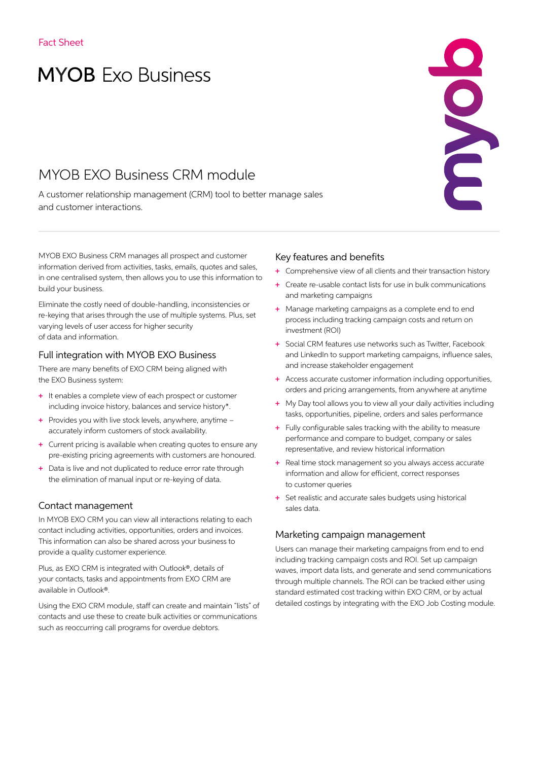# **MYOB** Exo Business

# MYOB EXO Business CRM module

A customer relationship management (CRM) tool to better manage sales and customer interactions.

MYOB EXO Business CRM manages all prospect and customer information derived from activities, tasks, emails, quotes and sales, in one centralised system, then allows you to use this information to build your business.

Eliminate the costly need of double-handling, inconsistencies or re-keying that arises through the use of multiple systems. Plus, set varying levels of user access for higher security of data and information.

#### Full integration with MYOB EXO Business

There are many benefits of EXO CRM being aligned with the EXO Business system:

- + It enables a complete view of each prospect or customer including invoice history, balances and service history\*.
- + Provides you with live stock levels, anywhere, anytime accurately inform customers of stock availability.
- + Current pricing is available when creating quotes to ensure any pre-existing pricing agreements with customers are honoured.
- + Data is live and not duplicated to reduce error rate through the elimination of manual input or re-keying of data.

#### Contact management

In MYOB EXO CRM you can view all interactions relating to each contact including activities, opportunities, orders and invoices. This information can also be shared across your business to provide a quality customer experience.

Plus, as EXO CRM is integrated with Outlook®, details of your contacts, tasks and appointments from EXO CRM are available in Outlook®.

Using the EXO CRM module, staff can create and maintain "lists" of contacts and use these to create bulk activities or communications such as reoccurring call programs for overdue debtors.

## Key features and benefits

+ Comprehensive view of all clients and their transaction history

ENDE

- + Create re-usable contact lists for use in bulk communications and marketing campaigns
- + Manage marketing campaigns as a complete end to end process including tracking campaign costs and return on investment (ROI)
- + Social CRM features use networks such as Twitter, Facebook and LinkedIn to support marketing campaigns, influence sales, and increase stakeholder engagement
- + Access accurate customer information including opportunities, orders and pricing arrangements, from anywhere at anytime
- + My Day tool allows you to view all your daily activities including tasks, opportunities, pipeline, orders and sales performance
- + Fully configurable sales tracking with the ability to measure performance and compare to budget, company or sales representative, and review historical information
- + Real time stock management so you always access accurate information and allow for efficient, correct responses to customer queries
- + Set realistic and accurate sales budgets using historical sales data.

#### Marketing campaign management

Users can manage their marketing campaigns from end to end including tracking campaign costs and ROI. Set up campaign waves, import data lists, and generate and send communications through multiple channels. The ROI can be tracked either using standard estimated cost tracking within EXO CRM, or by actual detailed costings by integrating with the EXO Job Costing module.